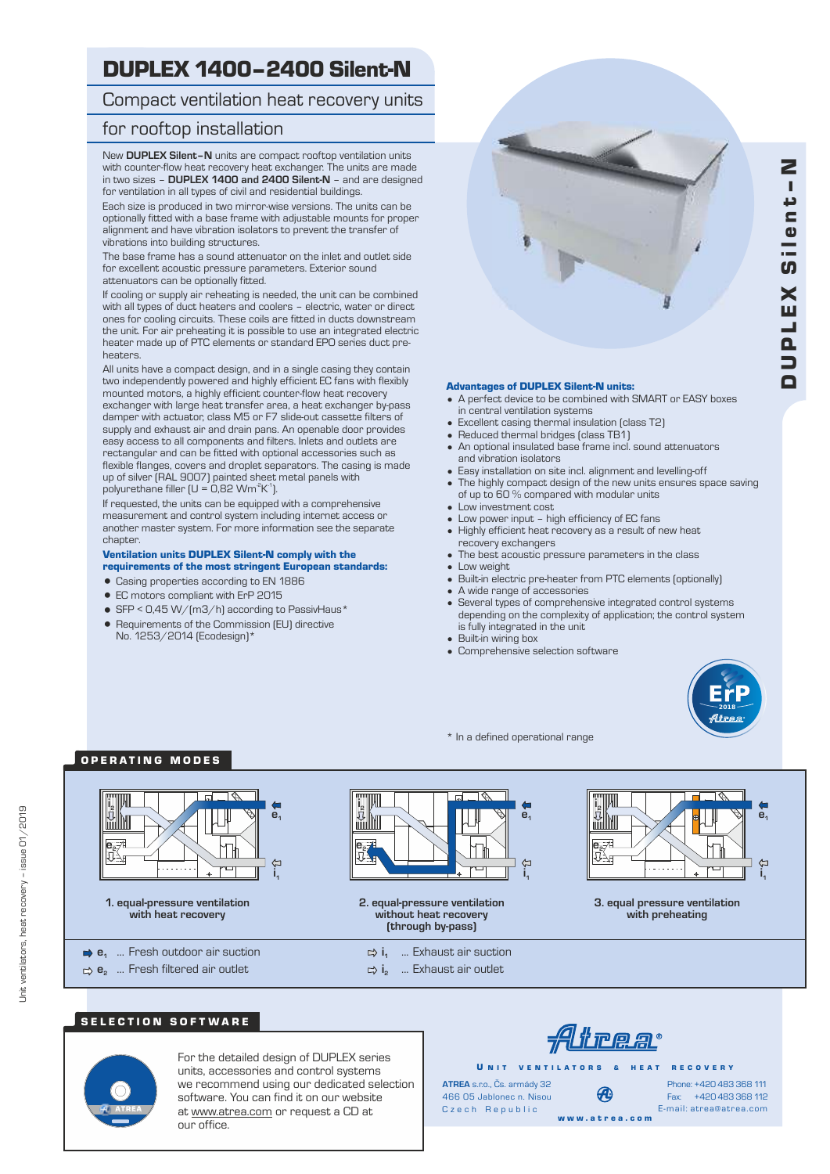# DUPLEX 1400–2400 Silent-N

## Compact ventilation heat recovery units

#### for rooftop installation

New **DUPLEX Silent–N** units are compact rooftop ventilation units with counter-flow heat recovery heat exchanger. The units are made in two sizes – **DUPLEX 1400 and 2400 Silent-N** – and are designed for ventilation in all types of civil and residential buildings.

Each size is produced in two mirror-wise versions. The units can be optionally fitted with a base frame with adjustable mounts for proper alignment and have vibration isolators to prevent the transfer of vibrations into building structures.

The base frame has a sound attenuator on the inlet and outlet side for excellent acoustic pressure parameters. Exterior sound attenuators can be optionally fitted.

If cooling or supply air reheating is needed, the unit can be combined with all types of duct heaters and coolers – electric, water or direct ones for cooling circuits. These coils are fitted in ducts downstream the unit. For air preheating it is possible to use an integrated electric heater made up of PTC elements or standard EPO series duct preheaters.

All units have a compact design, and in a single casing they contain two independently powered and highly efficient EC fans with flexibly mounted motors, a highly efficient counter-flow heat recovery exchanger with large heat transfer area, a heat exchanger by-pass damper with actuator, class M5 or F7 slide-out cassette filters of supply and exhaust air and drain pans. An openable door provides easy access to all components and filters. Inlets and outlets are rectangular and can be fitted with optional accessories such as flexible flanges, covers and droplet separators. The casing is made up of silver (RAL 9007) painted sheet metal panels with polyurethane filler (U = 0,82 Wm<sup>2</sup>K<sup>1</sup>).

If requested, the units can be equipped with a comprehensive measurement and control system including internet access or another master system. For more information see the separate chapter.

#### Ventilation units DUPLEX Silent-N comply with the

#### requirements of the most stringent European standards:

- Casing properties according to EN 1886
- EC motors compliant with ErP 2015
- $\bullet$  SFP < 0,45 W/(m3/h) according to PassivHaus\*
- Requirements of the Commission (EU) directive No. 1253/2014 (Ecodesign)\*

#### Advantages of DUPLEX Silent-N units:

- A perfect device to be combined with SMART or EASY boxes in central ventilation systems
- Excellent casing thermal insulation (class T2)
- Reduced thermal bridges (class TB1)
- An optional insulated base frame incl. sound attenuators and vibration isolators
- Easy installation on site incl. alignment and levelling-off
- The highly compact design of the new units ensures space saving of up to 60 % compared with modular units
- Low investment cost
- Low power input high efficiency of EC fans
- Highly efficient heat recovery as a result of new heat recovery exchangers
- The best acoustic pressure parameters in the class Low weight
- Built-in electric pre-heater from PTC elements (optionally)
- A wide range of accessories
- Several types of comprehensive integrated control systems depending on the complexity of application; the control system is fully integrated in the unit
- Built-in wiring box
- Comprehensive selection software



\* In a defined operational range

## OPERATING MODES



**1. equal-pressure ventilation with heat recovery**

**e1** ... Fresh outdoor air suction **e** ... Fresh filtered air outlet **<sup>2</sup>**



**2. equal-pressure ventilation without heat recovery (through by-pass)**

- **i1** ... Exhaust air suction
- $\Rightarrow$  **i**<sub>2</sub> ... Exhaust air outlet



**3. equal pressure ventilation with preheating**





Unit ventilators, heat recovery – issue 01/2019

Unit ventilators, heat recovery - issue 01/2019

For the detailed design of DUPLEX series units, accessories and control systems we recommend using our dedicated selection software. You can find it on our website at www.atrea.com or request a CD at our office.

<u>Atrea</u>

U N IT VENTILATORS & HEAT RECOVERY

Czech Republic **ATREA** s.r.o., Čs. armády 32 466 05 Jablonec n. Nisou

Fax: +420 483 368 112 Phone: +420 483 368 111 E-mail: atrea@atrea.com

w w w . a t r e a . c o m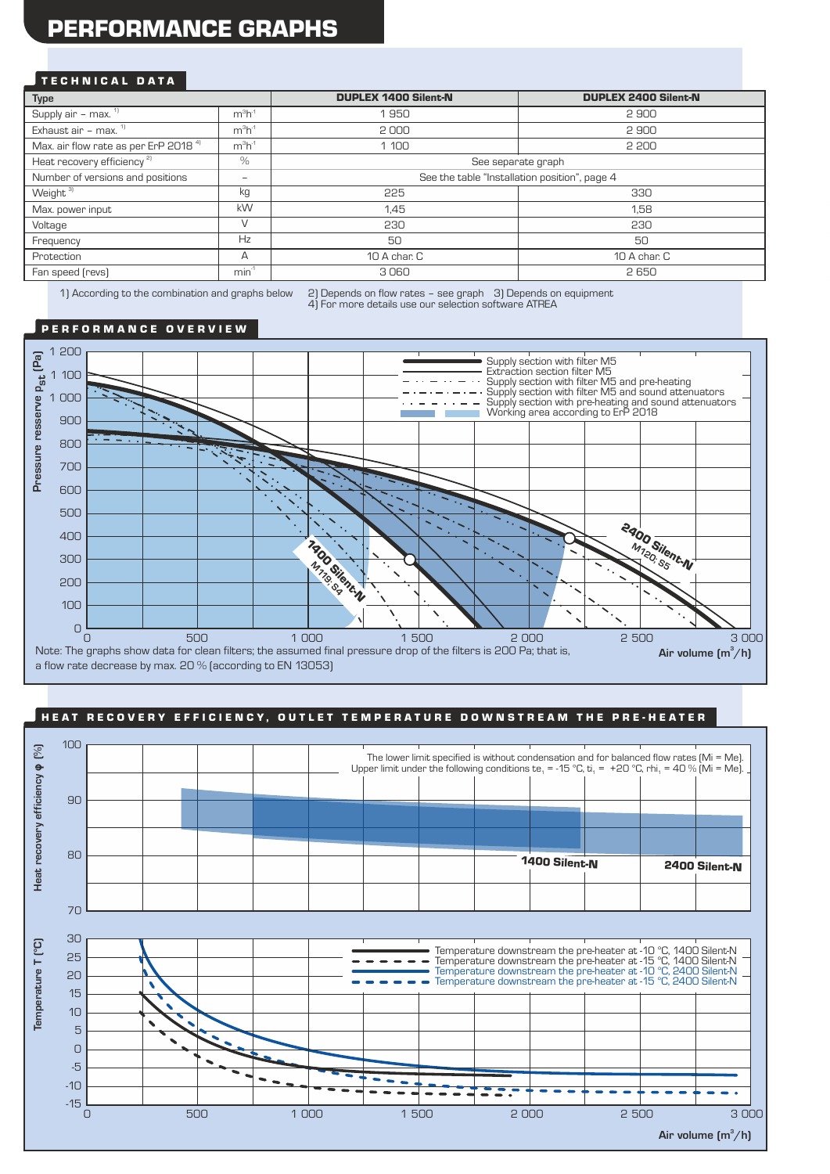# PERFORMANCE GRAPHS

#### TECHNICAL DATA

| Type                                             |           | <b>DUPLEX 1400 Silent-N</b>                   | <b>DUPLEX 2400 Silent-N</b> |  |  |  |
|--------------------------------------------------|-----------|-----------------------------------------------|-----------------------------|--|--|--|
| Supply air $-\overline{max.}$ <sup>11</sup>      | $m3h-1$   | 1950                                          | 2900                        |  |  |  |
| Exhaust air - max. $1$                           | $m3h-1$   | 2000                                          | 2900                        |  |  |  |
| Max. air flow rate as per ErP 2018 <sup>41</sup> | $m^3h^1$  | 1 100                                         | 2 200                       |  |  |  |
| Heat recovery efficiency <sup>2)</sup>           | $\%$      | See separate graph                            |                             |  |  |  |
| Number of versions and positions                 | -         | See the table "Installation position", page 4 |                             |  |  |  |
| Weight <sup>31</sup>                             | kg        | 225<br>330                                    |                             |  |  |  |
| Max. power input                                 | <b>kW</b> | 1.45                                          | 1.58                        |  |  |  |
| Voltage                                          |           | 230                                           | 230                         |  |  |  |
| Frequency                                        | Hz        | 50                                            | 50                          |  |  |  |
| Protection                                       | А         | 10 A char. C<br>10 A char. C                  |                             |  |  |  |
| Fan speed (revs)                                 | $min-1$   | 3060                                          | 2650                        |  |  |  |
|                                                  |           |                                               |                             |  |  |  |

1) According to the combination and graphs below 2) Depends on flow rates – see graph 3) Depends on equipment 4) For more details use our selection software ATREA

#### PERFORMANCE OVERVIEW



#### HEAT RECOVERY EFFICIENCY, OUTLET TEMPERATURE DOWNSTREAM THE PRE-HEATER  $\,$

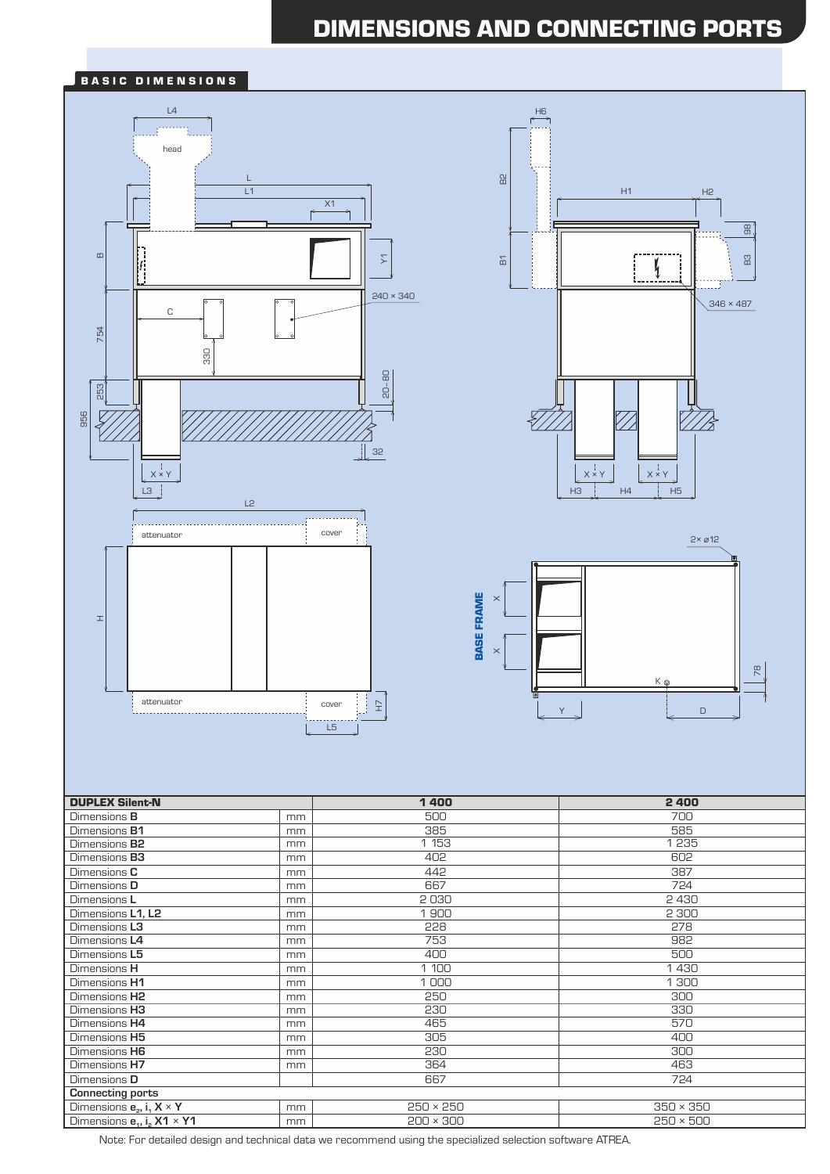# DIMENSIONS AND CONNECTING PORTS

#### BASIC DIMENSIONS







| <b>DUPLEX Silent-N</b>                           |    | 1400             | 2400             |
|--------------------------------------------------|----|------------------|------------------|
| Dimensions <b>B</b>                              | mm | 500              | 700              |
| Dimensions <b>B1</b>                             | mm | 385              | 585              |
| Dimensions <b>B2</b>                             | mm | 1 153            | 1235             |
| Dimensions <b>B3</b>                             | mm | 402              | 602              |
| Dimensions C                                     | mm | 442              | 387              |
| Dimensions D                                     | mm | 667              | 724              |
| Dimensions L                                     | mm | 2030             | 2430             |
| Dimensions L1, L2                                | mm | 1900             | 2 300            |
| Dimensions L3                                    | mm | 228              | 278              |
| Dimensions L4                                    | mm | 753              | 982              |
| Dimensions L5                                    | mm | 400              | 500              |
| Dimensions H                                     | mm | 1 100            | 1430             |
| Dimensions H1                                    | mm | 1000             | 1 300            |
| Dimensions H <sub>2</sub>                        | mm | 250              | 300              |
| Dimensions H3                                    | mm | 230              | 330              |
| Dimensions H4                                    | mm | 465              | 570              |
| Dimensions H5                                    | mm | 305              | 400              |
| Dimensions H6                                    | mm | 230              | 300              |
| Dimensions H7                                    | mm | 364              | 463              |
| Dimensions D                                     |    | 667              | 724              |
| <b>Connecting ports</b>                          |    |                  |                  |
| Dimensions $e_{2}$ , i <sub>1</sub> $X \times Y$ | mm | $250 \times 250$ | $350 \times 350$ |
| Dimensions $e_{11}$ , i <sub>2</sub> X1 × Y1     | mm | $200 \times 300$ | $250 \times 500$ |

Note: For detailed design and technical data we recommend using the specialized selection software ATREA.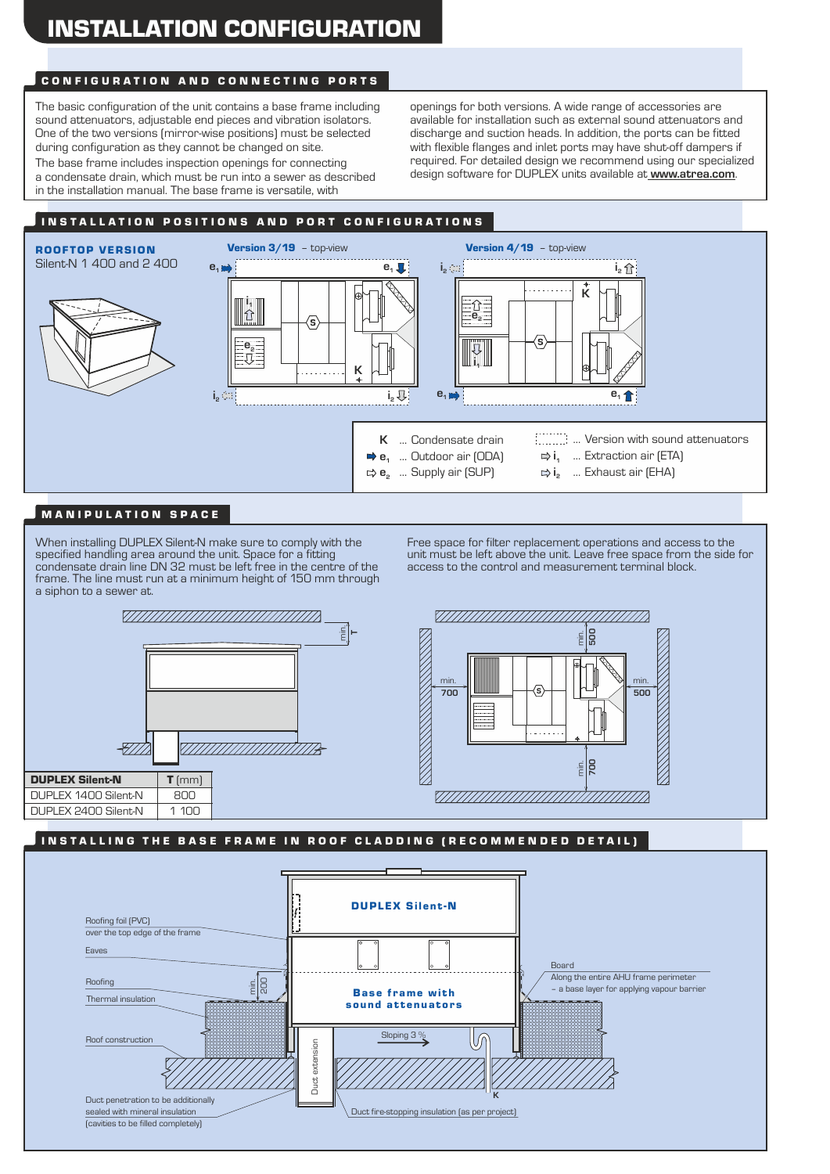## CONFIGURATION AND CONNECTING PORTS

The basic configuration of the unit contains a base frame including sound attenuators, adjustable end pieces and vibration isolators. One of the two versions (mirror-wise positions) must be selected during configuration as they cannot be changed on site.

The base frame includes inspection openings for connecting a condensate drain, which must be run into a sewer as described in the installation manual. The base frame is versatile, with

openings for both versions. A wide range of accessories are available for installation such as external sound attenuators and discharge and suction heads. In addition, the ports can be fitted with flexible flanges and inlet ports may have shut-off dampers if required. For detailed design we recommend using our specialized design software for DUPLEX units available at **www.atrea.com**.

## INSTALLATION POSITIONS AND PORT CONFIGURATIONS



## MANIPULATION SPACE

When installing DUPLEX Silent-N make sure to comply with the specified handling area around the unit. Space for a fitting condensate drain line DN 32 must be left free in the centre of the frame. The line must run at a minimum height of 150 mm through a siphon to a sewer at.





## IN STALLING THE BASE FRAME IN ROOF CLADDING (RECOMMENDED DETAIL)

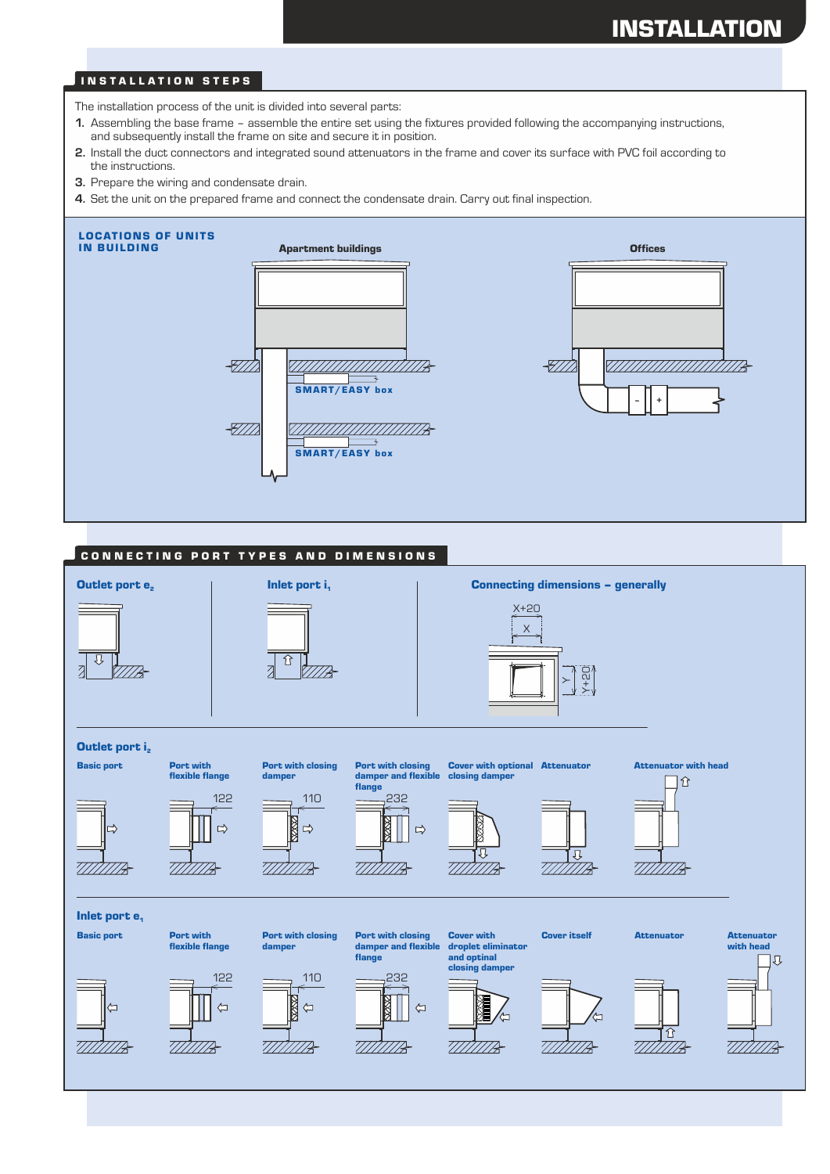# INSTALLATION

#### **INSTALLATION STEPS**

The installation process of the unit is divided into several parts:

- **1.** Assembling the base frame assemble the entire set using the fixtures provided following the accompanying instructions, and subsequently install the frame on site and secure it in position.
- **2.** Install the duct connectors and integrated sound attenuators in the frame and cover its surface with PVC foil according to the instructions.
- **3.** Prepare the wiring and condensate drain.
- **4.** Set the unit on the prepared frame and connect the condensate drain. Carry out final inspection.



#### CONNECTING PORT TYPES AND DIMENSIONS

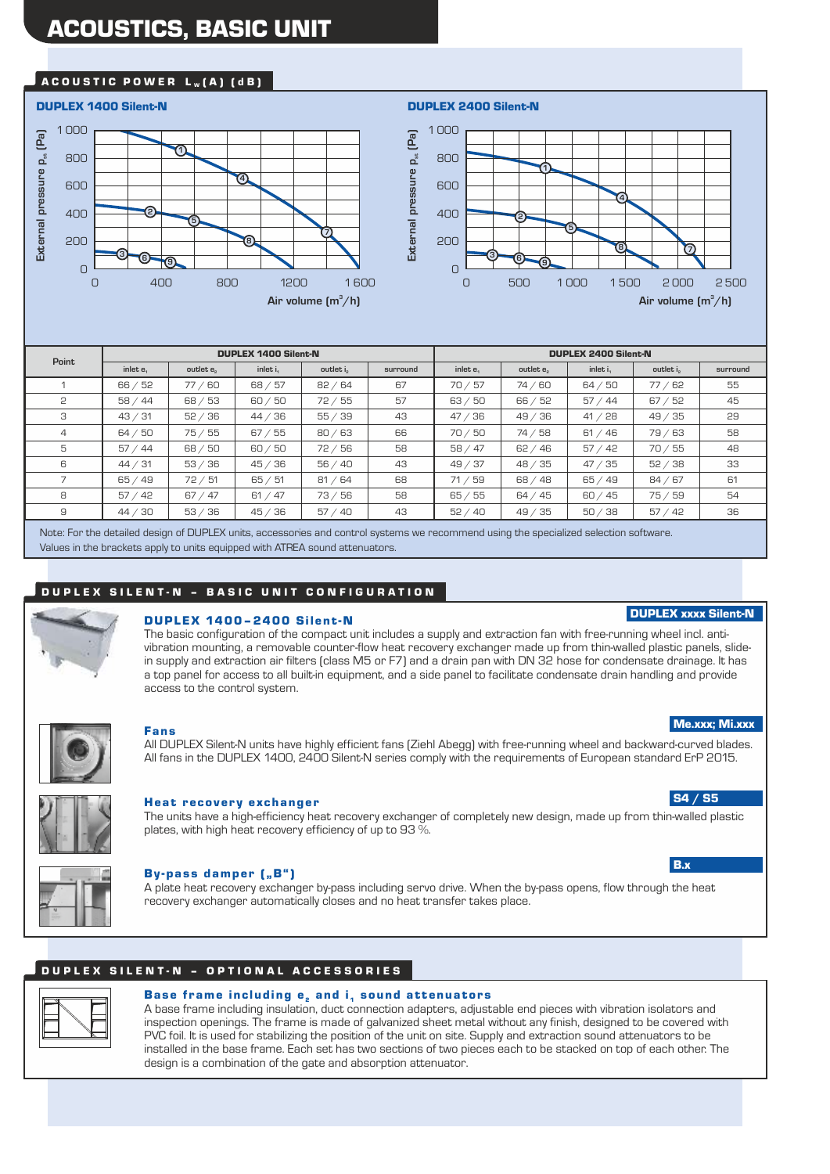# ACOUSTICS, BASIC UNIT

#### ACOUSTIC POWER  $L_w(A)$  (dB)





| Point          |                       |           | <b>DUPLEX 1400 Silent-N</b> |             |          | <b>DUPLEX 2400 Silent-N</b> |            |             |          |          |
|----------------|-----------------------|-----------|-----------------------------|-------------|----------|-----------------------------|------------|-------------|----------|----------|
|                | inlet e.              | outlet e. | inlet i.                    | outlet i    | surround | inlet e.                    | outlet e.  | inlet i.    | outlet i | surround |
|                | 66 / 52               | 77/60     | 68 / 57                     | 82 / 64     | 67       | 70/57                       | 74/60      | 64 / 50     | 77/62    | 55       |
| 2              | 58/44                 | 68 / 53   | 60/50                       | 72/55       | 57       | 63 / 50                     | 66 / 52    | 57/<br>44 ′ | 67 / 52  | 45       |
| 3              | 43 / 31               | 52 / 36   | 44 / 36                     | 55/<br>∕ 39 | 43       | 47/<br>136                  | 49 / 36    | 41 / 28     | 49/35    | 29       |
| $\overline{4}$ | 64 / 50               | 75/55     | 67 / 55                     | 80 / 63     | 66       | 70/50                       | 74 / 58    | 61 / 46     | 79/63    | 58       |
| 5              | 57/44                 | 68 / 50   | 60/50                       | 72/56       | 58       | 58/47                       | 62 / 46    | 57 / 42     | 70/55    | 48       |
| 6              | 44 / 31               | 53/36     | 45 / 36                     | 56 / 40     | 43       | 49/37                       | 48 / 35    | 47 / 35     | 52 / 38  | 33       |
|                | 65/49                 | 72/51     | 65 / 51                     | 81 / 64     | 68       | 71 / 59                     | 68 / 48    | 65/49       | 84/67    | 61       |
| 8              | 57/42                 | 67 / 47   | 61 / 47                     | 73/56       | 58       | 65 / 55                     | 64 / 45    | 60 / 45     | 75/59    | 54       |
| 9              | 30<br>44 <sub>7</sub> | 53/36     | 45 / 36                     | 57/<br>40'  | 43       | 52 / 40                     | 49/<br>'35 | 50/38       | 57 / 42  | 36       |

Note: For the detailed design of DUPLEX units, accessories and control systems we recommend using the specialized selection software. Values in the brackets apply to units equipped with ATREA sound attenuators.

#### DUPLEX SILENT-N - BASIC UNIT CONFIGURATION



#### **DUPLEX 1400-2400 Silent-N**

The basic configuration of the compact unit includes a supply and extraction fan with free-running wheel incl. antivibration mounting, a removable counter-flow heat recovery exchanger made up from thin-walled plastic panels, slidein supply and extraction air filters (class M5 or F7) and a drain pan with DN 32 hose for condensate drainage. It has a top panel for access to all built-in equipment, and a side panel to facilitate condensate drain handling and provide access to the control system.



#### Fans

All DUPLEX Silent-N units have highly efficient fans (Ziehl Abegg) with free-running wheel and backward-curved blades. All fans in the DUPLEX 1400, 2400 Silent-N series comply with the requirements of European standard ErP 2015.



#### Heat recovery exchanger

The units have a high-efficiency heat recovery exchanger of completely new design, made up from thin-walled plastic plates, with high heat recovery efficiency of up to 93 %.

By-pass damper ("B") A plate heat recovery exchanger by-pass including servo drive. When the by-pass opens, flow through the heat recovery exchanger automatically closes and no heat transfer takes place.

#### DUPLEX SILENT-N - OPTIONAL ACCESSORIES



#### Base frame including  $e_2$  and  $i_1$  sound attenuators

A base frame including insulation, duct connection adapters, adjustable end pieces with vibration isolators and inspection openings. The frame is made of galvanized sheet metal without any finish, designed to be covered with PVC foil. It is used for stabilizing the position of the unit on site. Supply and extraction sound attenuators to be installed in the base frame. Each set has two sections of two pieces each to be stacked on top of each other. The design is a combination of the gate and absorption attenuator.

#### DUPLEX xxxx Silent-N

#### S4 / S5

Me.xxx; Mi.xxx

#### B.x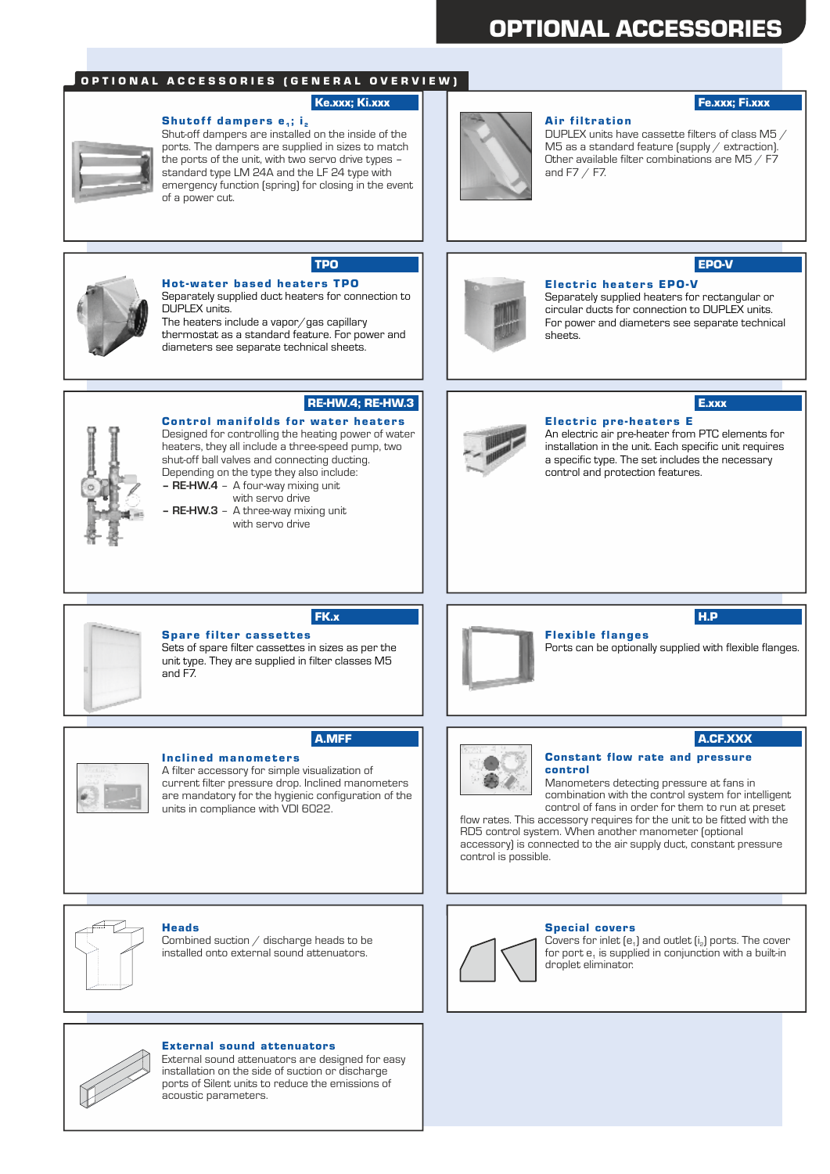# OPTIONAL ACCESSORIES

#### O P T I O N A L A C C E S S O R I E S ( G E N E R A L O V E R V I E W )

#### Ke.xxx; Ki.xxx **Fe.xxx; Filterial Features**

#### Shutoff dampers  ${\bf e}_{\scriptscriptstyle 4}$ ; i $_{\scriptscriptstyle 2}$

Shut-off dampers are installed on the inside of the ports. The dampers are supplied in sizes to match the ports of the unit, with two servo drive types – standard type LM 24A and the LF 24 type with emergency function (spring) for closing in the event of a power cut.



**Air filtration** DUPLEX units have cassette filters of class M5 / M5 as a standard feature (supply / extraction). Other available filter combinations are M5 / F7 and F7 / F7.



# Hot-water based heaters TPO

Separately supplied duct heaters for connection to DUPLEX units. The heaters include a vapor $\sqrt{g}$ as capillary thermostat as a standard feature. For power and diameters see separate technical sheets.



#### Electric heaters EPO-V

Separately supplied heaters for rectangular or circular ducts for connection to DUPLEX units. For power and diameters see separate technical sheets.



#### RE-HW.4; RE-HW.3

**Control manifolds for water heaters** Designed for controlling the heating power of water heaters, they all include a three-speed pump, two shut-off ball valves and connecting ducting. Depending on the type they also include: **– RE-HW.4** – A four-way mixing unit

with servo drive **– RE-HW.3** – A three-way mixing unit with servo drive



# E.xxx

Electric pre-heaters E An electric air pre-heater from PTC elements for installation in the unit. Each specific unit requires a specific type. The set includes the necessary control and protection features.



#### Spare filter cassettes

Sets of spare filter cassettes in sizes as per the unit type. They are supplied in filter classes M5 and F7.

FK.x



### H.P

Flex ible flanges Ports can be optionally supplied with flexible flanges.



#### Inc lined manome t er s

A filter accessory for simple visualization of current filter pressure drop. Inclined manometers are mandatory for the hygienic configuration of the units in compliance with VDI 6022.

# A.MFF A.CF.XXX

Constant flow rate and pressure control

Manometers detecting pressure at fans in combination with the control system for intelligent control of fans in order for them to run at preset

flow rates. This accessory requires for the unit to be fitted with the RD5 control system. When another manometer (optional accessory) is connected to the air supply duct, constant pressure control is possible.



#### Heads

Combined suction / discharge heads to be installed onto external sound attenuators.



Special covers Covers for inlet  $[e_1]$  and outlet  $[i_2]$  ports. The cover for port  $e_1$  is supplied in conjunction with a built-in droplet eliminator.



#### External sound attenuators

External sound attenuators are designed for easy installation on the side of suction or discharge ports of Silent units to reduce the emissions of acoustic parameters.